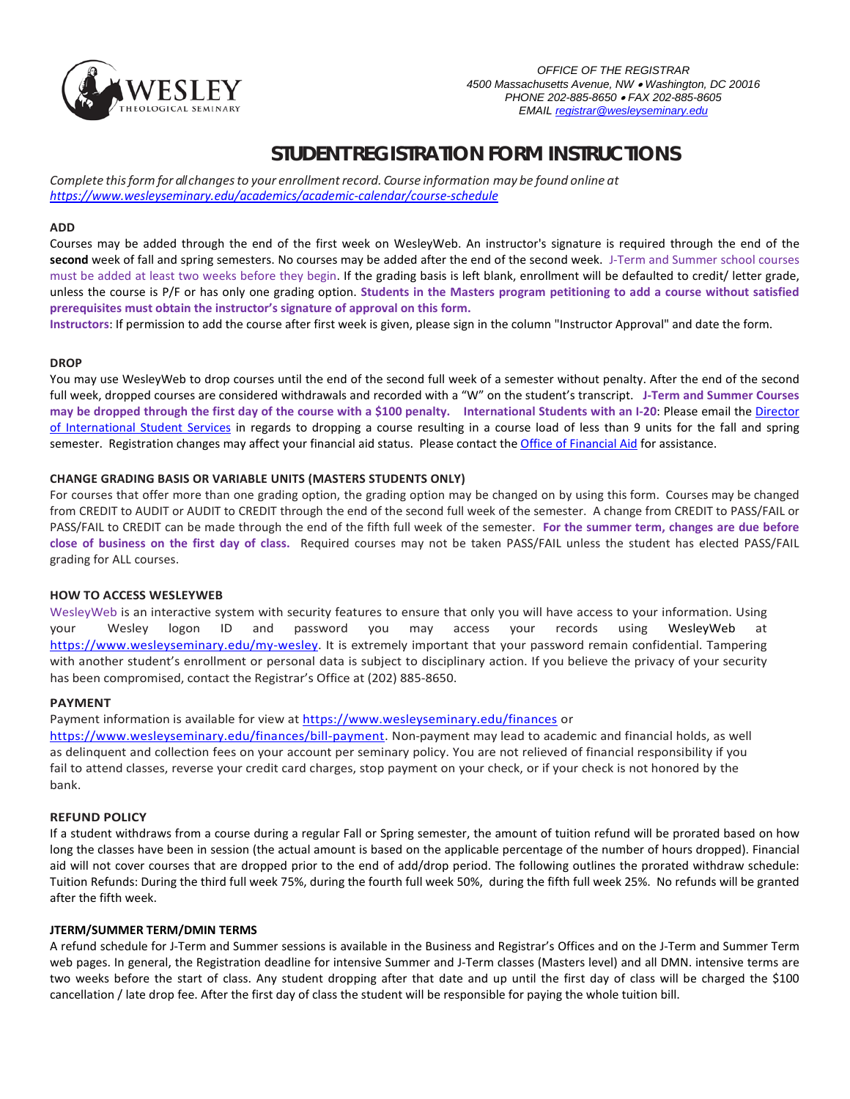

# **STUDENT REGISTRATION FORM INSTRUCTIONS**

*Complete thisform for all changesto your [enrollmentrecord.](http://www.registrar.ucla.edu/schedule/schedulehome.aspx) Course information may be found online at <https://www.wesleyseminary.edu/academics/academic-calendar/course-schedule>*

#### **ADD**

Courses may be added through the end of the first week on WesleyWeb. An instructor's signature is required through the end of the **second** week of fall and spring semesters. No courses may be added after the end of the second week. J-Term and Summer school courses must be added at least two weeks before they begin. If the grading basis is left blank, enrollment will be defaulted to credit/ letter grade, unless the course is P/F or has only one grading option. **Students in the Masters program petitioning to add a course without satisfied prerequisites must obtain the instructor's signature of approval on this form.**

**Instructors**: If permission to add the course after first week is given, please sign in the column "Instructor Approval" and date the form.

#### **DROP**

You may use WesleyWeb to drop courses until the end of the second full week of a semester without penalty. After the end of the second full week, dropped courses are considered withdrawals and recorded with a "W" on the student's transcript. **J-Term and Summer Courses may be dropped through the first day of the course with a \$100 penalty. International Students with an I-20**: Please email the [Director](mailto:ksantiago@wesleyseminary.edu)  [of International Student Services](mailto:ksantiago@wesleyseminary.edu) in regards to dropping a course resulting in a course load of less than 9 units for the fall and spring semester. Registration changes may affect your financial aid status. Please contact th[e Office of Financial Aid](mailto:mvibert@wesleyseminary.edu.) for assistance.

#### **CHANGE GRADING BASIS OR VARIABLE UNITS (MASTERS STUDENTS ONLY)**

For courses that offer more than one grading option, the grading option may be changed on by using this form. Courses may be changed from CREDIT to AUDIT or AUDIT to CREDIT through the end of the second full week of the semester. A change from CREDIT to PASS/FAIL or PASS/FAIL to CREDIT can be made through the end of the fifth full week of the semester. **For the summer term, changes are due before close of business on the first day of class.** Required courses may not be taken PASS/FAIL unless the student has elected PASS/FAIL grading for ALL courses.

#### **HOW TO ACCESS WESLEYWEB**

WesleyWeb is an interactive system with security features to ensure that only you will have access to your information. Using your Wesley logon ID and password you may access your records using WesleyWeb at [https://www.wesleyseminary.edu/my-wesley.](https://www.wesleyseminary.edu/my-wesley) It is extremely important that your password remain confidential. Tampering with another student's enrollment or personal data is subject to disciplinary action. If you believe the privacy of your security has been compromised, contact the Registrar's Office at (202) 885-8650.

#### **PAYMENT**

Payment information is available for view at <https://www.wesleyseminary.edu/finances> or

[https://www.wesleyseminary.edu/finances/bill-payment.](https://www.wesleyseminary.edu/finances/bill-payment) Non-payment may lead to academic and financial holds, as well as delinquent and collection fees on your account per seminary policy. You are not relieved of financial responsibility if you fail to attend classes, reverse your credit card charges, stop payment on your check, or if your check is not honored by the bank.

#### **REFUND POLICY**

If a student withdraws from a course during a regular Fall or Spring semester, the amount of tuition refund will be prorated based on how long the classes have been in session (the actual amount is based on the applicable percentage of the number of hours dropped). Financial aid will not cover courses that are dropped prior to the end of add/drop period. The following outlines the prorated withdraw schedule: Tuition Refunds: During the third full week 75%, during the fourth full week 50%, during the fifth full week 25%. No refunds will be granted after the fifth week.

#### **JTERM/SUMMER TERM/DMIN TERMS**

A refund schedule for J-Term and Summer sessions is available in the Business and Registrar's Offices and on the J-Term and Summer Term web pages. In general, the Registration deadline for intensive Summer and J-Term classes (Masters level) and all DMN. intensive terms are two weeks before the start of class. Any student dropping after that date and up until the first day of class will be charged the \$100 cancellation / late drop fee. After the first day of class the student will be responsible for paying the whole tuition bill.